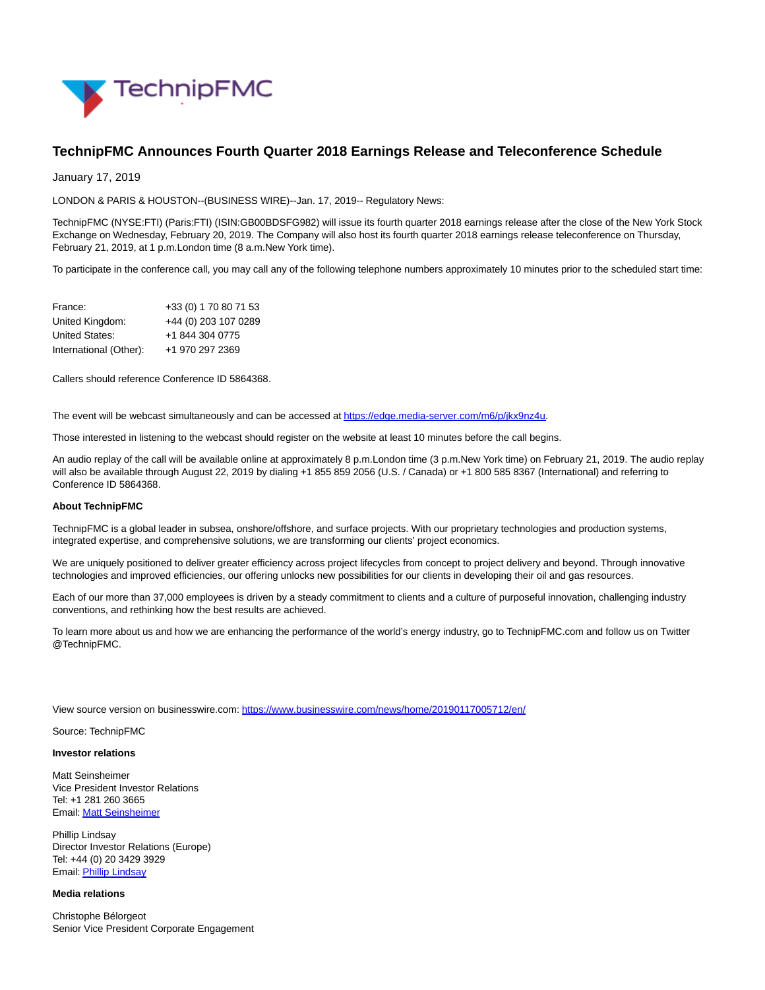

## **TechnipFMC Announces Fourth Quarter 2018 Earnings Release and Teleconference Schedule**

January 17, 2019

LONDON & PARIS & HOUSTON--(BUSINESS WIRE)--Jan. 17, 2019-- Regulatory News:

TechnipFMC (NYSE:FTI) (Paris:FTI) (ISIN:GB00BDSFG982) will issue its fourth quarter 2018 earnings release after the close of the New York Stock Exchange on Wednesday, February 20, 2019. The Company will also host its fourth quarter 2018 earnings release teleconference on Thursday, February 21, 2019, at 1 p.m.London time (8 a.m.New York time).

To participate in the conference call, you may call any of the following telephone numbers approximately 10 minutes prior to the scheduled start time:

| France:                | +33 (0) 1 70 80 71 53 |
|------------------------|-----------------------|
| United Kingdom:        | +44 (0) 203 107 0289  |
| United States:         | +1 844 304 0775       |
| International (Other): | +1 970 297 2369       |

Callers should reference Conference ID 5864368.

The event will be webcast simultaneously and can be accessed a[t https://edge.media-server.com/m6/p/jkx9nz4u.](https://cts.businesswire.com/ct/CT?id=smartlink&url=https%3A%2F%2Furldefense.proofpoint.com%2Fv2%2Furl%3Fu%3Dhttps-3A__edge.media-2Dserver.com_m6_p_jkx9nz4u%26d%3DDwMF_w%26c%3Dr_B2dqKkHczsuXPCSs5DOw%26r%3Dz9yyawX_Pv_TKlAFwZJxGBxxMtZk6AnfczpsGaRCIGA%26m%3Dx0mw7VyqM55nSlMxfpIIr_lDzVEZP52Y31gSTA067bY%26s%3D7C1Ltj6EOaqYf3I3G1U4jQPaKi836mvC1enLYYi8y4I%26e%3D&esheet=51927452&newsitemid=20190117005712&lan=en-US&anchor=https%3A%2F%2Fedge.media-server.com%2Fm6%2Fp%2Fjkx9nz4u&index=1&md5=ad1d33daa03eabf79d551d1b3329f60a)

Those interested in listening to the webcast should register on the website at least 10 minutes before the call begins.

An audio replay of the call will be available online at approximately 8 p.m.London time (3 p.m.New York time) on February 21, 2019. The audio replay will also be available through August 22, 2019 by dialing +1 855 859 2056 (U.S. / Canada) or +1 800 585 8367 (International) and referring to Conference ID 5864368.

## **About TechnipFMC**

TechnipFMC is a global leader in subsea, onshore/offshore, and surface projects. With our proprietary technologies and production systems, integrated expertise, and comprehensive solutions, we are transforming our clients' project economics.

We are uniquely positioned to deliver greater efficiency across project lifecycles from concept to project delivery and beyond. Through innovative technologies and improved efficiencies, our offering unlocks new possibilities for our clients in developing their oil and gas resources.

Each of our more than 37,000 employees is driven by a steady commitment to clients and a culture of purposeful innovation, challenging industry conventions, and rethinking how the best results are achieved.

To learn more about us and how we are enhancing the performance of the world's energy industry, go to TechnipFMC.com and follow us on Twitter @TechnipFMC.

View source version on businesswire.com:<https://www.businesswire.com/news/home/20190117005712/en/>

Source: TechnipFMC

## **Investor relations**

Matt Seinsheimer Vice President Investor Relations Tel: +1 281 260 3665 Email[: Matt Seinsheimer](mailto:InvestorRelations@TechnipFMC.com)

Phillip Lindsay Director Investor Relations (Europe) Tel: +44 (0) 20 3429 3929 Email[: Phillip Lindsay](mailto:InvestorRelations@TechnipFMC.com)

## **Media relations**

Christophe Bélorgeot Senior Vice President Corporate Engagement